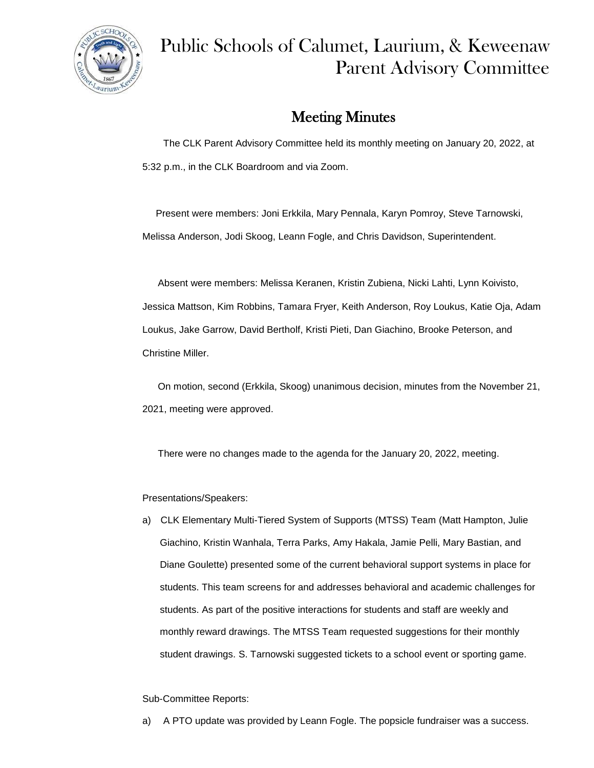

# Public Schools of Calumet, Laurium, & Keweenaw Parent Advisory Committee

## Meeting Minutes

 The CLK Parent Advisory Committee held its monthly meeting on January 20, 2022, at 5:32 p.m., in the CLK Boardroom and via Zoom.

 Present were members: Joni Erkkila, Mary Pennala, Karyn Pomroy, Steve Tarnowski, Melissa Anderson, Jodi Skoog, Leann Fogle, and Chris Davidson, Superintendent.

Absent were members: Melissa Keranen, Kristin Zubiena, Nicki Lahti, Lynn Koivisto, Jessica Mattson, Kim Robbins, Tamara Fryer, Keith Anderson, Roy Loukus, Katie Oja, Adam Loukus, Jake Garrow, David Bertholf, Kristi Pieti, Dan Giachino, Brooke Peterson, and Christine Miller.

On motion, second (Erkkila, Skoog) unanimous decision, minutes from the November 21, 2021, meeting were approved.

There were no changes made to the agenda for the January 20, 2022, meeting.

Presentations/Speakers:

a) CLK Elementary Multi-Tiered System of Supports (MTSS) Team (Matt Hampton, Julie Giachino, Kristin Wanhala, Terra Parks, Amy Hakala, Jamie Pelli, Mary Bastian, and Diane Goulette) presented some of the current behavioral support systems in place for students. This team screens for and addresses behavioral and academic challenges for students. As part of the positive interactions for students and staff are weekly and monthly reward drawings. The MTSS Team requested suggestions for their monthly student drawings. S. Tarnowski suggested tickets to a school event or sporting game.

### Sub-Committee Reports:

a) A PTO update was provided by Leann Fogle. The popsicle fundraiser was a success.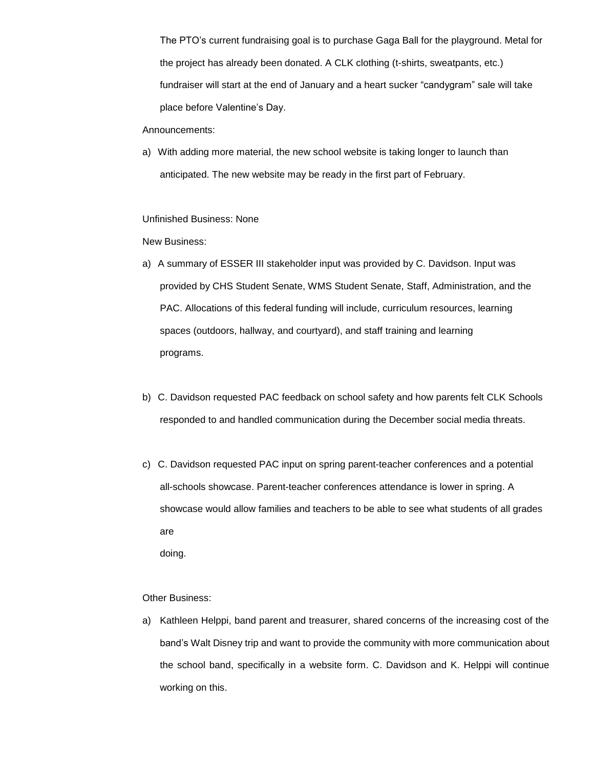The PTO's current fundraising goal is to purchase Gaga Ball for the playground. Metal for the project has already been donated. A CLK clothing (t-shirts, sweatpants, etc.) fundraiser will start at the end of January and a heart sucker "candygram" sale will take place before Valentine's Day.

#### Announcements:

a) With adding more material, the new school website is taking longer to launch than anticipated. The new website may be ready in the first part of February.

#### Unfinished Business: None

#### New Business:

- a) A summary of ESSER III stakeholder input was provided by C. Davidson. Input was provided by CHS Student Senate, WMS Student Senate, Staff, Administration, and the PAC. Allocations of this federal funding will include, curriculum resources, learning spaces (outdoors, hallway, and courtyard), and staff training and learning programs.
- b) C. Davidson requested PAC feedback on school safety and how parents felt CLK Schools responded to and handled communication during the December social media threats.
- c) C. Davidson requested PAC input on spring parent-teacher conferences and a potential all-schools showcase. Parent-teacher conferences attendance is lower in spring. A showcase would allow families and teachers to be able to see what students of all grades are doing.

### Other Business:

a) Kathleen Helppi, band parent and treasurer, shared concerns of the increasing cost of the band's Walt Disney trip and want to provide the community with more communication about the school band, specifically in a website form. C. Davidson and K. Helppi will continue working on this.